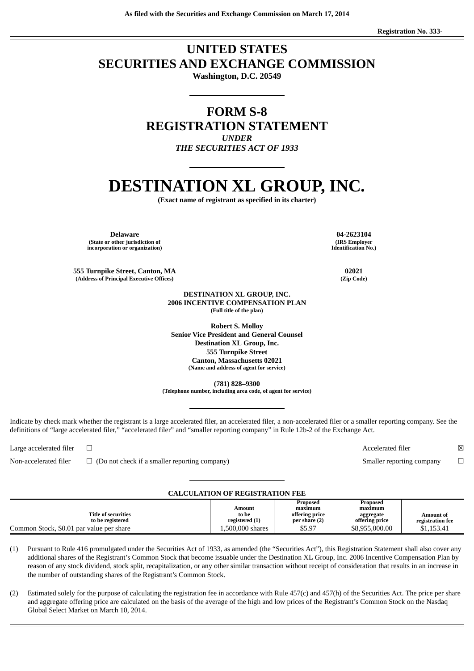**As filed with the Securities and Exchange Commission on March 17, 2014**

**Registration No. 333-**

### **UNITED STATES SECURITIES AND EXCHANGE COMMISSION**

**Washington, D.C. 20549**

**FORM S-8 REGISTRATION STATEMENT** *UNDER*

*THE SECURITIES ACT OF 1933*

## **DESTINATION XL GROUP, INC.**

**(Exact name of registrant as specified in its charter)**

**Delaware 04-2623104 (State or other jurisdiction of incorporation or organization)**

**555 Turnpike Street, Canton, MA 02021 (Address of Principal Executive Offices) (Zip Code)**

> **DESTINATION XL GROUP, INC. 2006 INCENTIVE COMPENSATION PLAN (Full title of the plan)**

**Robert S. Molloy Senior Vice President and General Counsel Destination XL Group, Inc. 555 Turnpike Street Canton, Massachusetts 02021 (Name and address of agent for service)**

**(781) 828–9300**

**(Telephone number, including area code, of agent for service)**

Indicate by check mark whether the registrant is a large accelerated filer, an accelerated filer, a non-accelerated filer or a smaller reporting company. See the definitions of "large accelerated filer," "accelerated filer" and "smaller reporting company" in Rule 12b-2 of the Exchange Act.

Non-accelerated filer □ (Do not check if a smaller reporting company) Smaller reporting company □

#### **CALCULATION OF REGISTRATION FEE**

|                                          |                  | Proposed       | Proposed       |                  |
|------------------------------------------|------------------|----------------|----------------|------------------|
|                                          | Amount           | maximum        | maximum        |                  |
| <b>Title of securities</b>               | to be            | offering price | aggregate      | Amount of        |
| to be registered                         | registered (1)   | per share (2)  | offering price | registration fee |
| Common Stock, \$0.01 par value per share | 1,500,000 shares | \$5.97         | \$8,955,000.00 | \$1,153.41       |

(1) Pursuant to Rule 416 promulgated under the Securities Act of 1933, as amended (the "Securities Act"), this Registration Statement shall also cover any additional shares of the Registrant's Common Stock that become issuable under the Destination XL Group, Inc. 2006 Incentive Compensation Plan by reason of any stock dividend, stock split, recapitalization, or any other similar transaction without receipt of consideration that results in an increase in the number of outstanding shares of the Registrant's Common Stock.

(2) Estimated solely for the purpose of calculating the registration fee in accordance with Rule 457(c) and 457(h) of the Securities Act. The price per share and aggregate offering price are calculated on the basis of the average of the high and low prices of the Registrant's Common Stock on the Nasdaq Global Select Market on March 10, 2014.

**(IRS Employer Identification No.)**

Large accelerated filer <del>□</del>  $\boxtimes$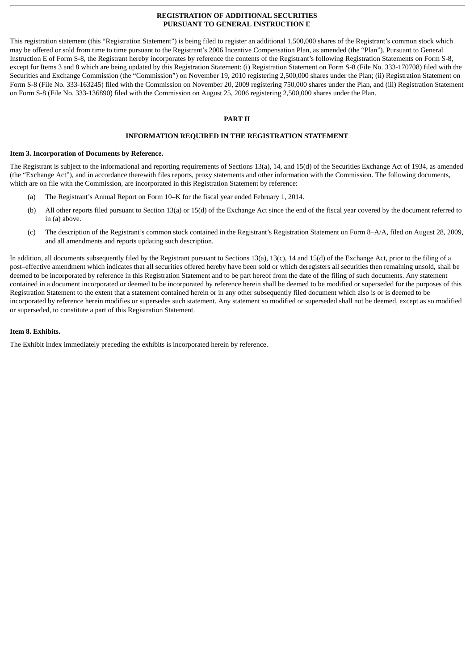#### **REGISTRATION OF ADDITIONAL SECURITIES PURSUANT TO GENERAL INSTRUCTION E**

This registration statement (this "Registration Statement") is being filed to register an additional 1,500,000 shares of the Registrant's common stock which may be offered or sold from time to time pursuant to the Registrant's 2006 Incentive Compensation Plan, as amended (the "Plan"). Pursuant to General Instruction E of Form S-8, the Registrant hereby incorporates by reference the contents of the Registrant's following Registration Statements on Form S-8, except for Items 3 and 8 which are being updated by this Registration Statement: (i) Registration Statement on Form S-8 (File No. 333-170708) filed with the Securities and Exchange Commission (the "Commission") on November 19, 2010 registering 2,500,000 shares under the Plan; (ii) Registration Statement on Form S-8 (File No. 333-163245) filed with the Commission on November 20, 2009 registering 750,000 shares under the Plan, and (iii) Registration Statement on Form S-8 (File No. 333-136890) filed with the Commission on August 25, 2006 registering 2,500,000 shares under the Plan.

#### **PART II**

#### **INFORMATION REQUIRED IN THE REGISTRATION STATEMENT**

#### **Item 3. Incorporation of Documents by Reference.**

The Registrant is subject to the informational and reporting requirements of Sections 13(a), 14, and 15(d) of the Securities Exchange Act of 1934, as amended (the "Exchange Act"), and in accordance therewith files reports, proxy statements and other information with the Commission. The following documents, which are on file with the Commission, are incorporated in this Registration Statement by reference:

- (a) The Registrant's Annual Report on Form 10–K for the fiscal year ended February 1, 2014.
- (b) All other reports filed pursuant to Section 13(a) or 15(d) of the Exchange Act since the end of the fiscal year covered by the document referred to in (a) above.
- (c) The description of the Registrant's common stock contained in the Registrant's Registration Statement on Form 8–A/A, filed on August 28, 2009, and all amendments and reports updating such description.

In addition, all documents subsequently filed by the Registrant pursuant to Sections 13(a), 13(c), 14 and 15(d) of the Exchange Act, prior to the filing of a post–effective amendment which indicates that all securities offered hereby have been sold or which deregisters all securities then remaining unsold, shall be deemed to be incorporated by reference in this Registration Statement and to be part hereof from the date of the filing of such documents. Any statement contained in a document incorporated or deemed to be incorporated by reference herein shall be deemed to be modified or superseded for the purposes of this Registration Statement to the extent that a statement contained herein or in any other subsequently filed document which also is or is deemed to be incorporated by reference herein modifies or supersedes such statement. Any statement so modified or superseded shall not be deemed, except as so modified or superseded, to constitute a part of this Registration Statement.

#### **Item 8. Exhibits.**

The Exhibit Index immediately preceding the exhibits is incorporated herein by reference.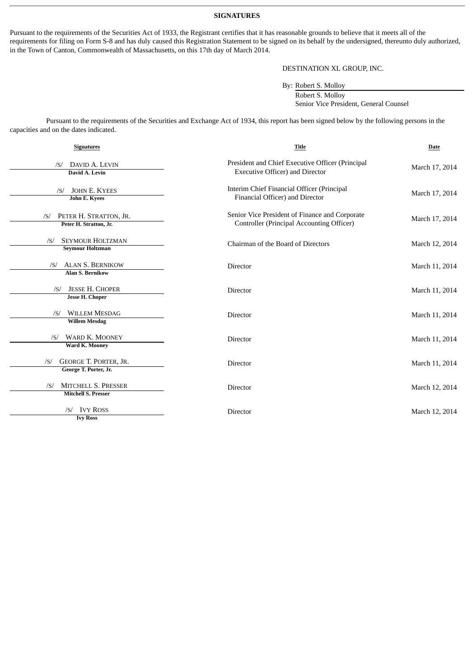#### **SIGNATURES**

Pursuant to the requirements of the Securities Act of 1933, the Registrant certifies that it has reasonable grounds to believe that it meets all of the requirements for filing on Form S-8 and has duly caused this Registration Statement to be signed on its behalf by the undersigned, thereunto duly authorized, in the Town of Canton, Commonwealth of Massachusetts, on this 17th day of March 2014.

#### DESTINATION XL GROUP, INC.

By: Robert S. Molloy

Robert S. Molloy Senior Vice President, General Counsel

Pursuant to the requirements of the Securities and Exchange Act of 1934, this report has been signed below by the following persons in the capacities and on the dates indicated.

| <b>Signatures</b>                                         | <b>Title</b>                                                                                | <b>Date</b>    |  |
|-----------------------------------------------------------|---------------------------------------------------------------------------------------------|----------------|--|
| DAVID A. LEVIN<br>/S/<br>David A. Levin                   | President and Chief Executive Officer (Principal<br><b>Executive Officer) and Director</b>  | March 17, 2014 |  |
| <b>JOHN E. KYEES</b><br>/S/<br><b>John E. Kyees</b>       | Interim Chief Financial Officer (Principal<br>Financial Officer) and Director               | March 17, 2014 |  |
| PETER H. STRATTON, JR.<br>/S/<br>Peter H. Stratton, Jr.   | Senior Vice President of Finance and Corporate<br>Controller (Principal Accounting Officer) | March 17, 2014 |  |
| <b>SEYMOUR HOLTZMAN</b><br>/S/<br><b>Seymour Holtzman</b> | Chairman of the Board of Directors                                                          | March 12, 2014 |  |
| /S/ ALAN S. BERNIKOW<br><b>Alan S. Bernikow</b>           | <b>Director</b>                                                                             | March 11, 2014 |  |
| <b>JESSE H. CHOPER</b><br>/S/<br><b>Jesse H. Choper</b>   | <b>Director</b>                                                                             | March 11, 2014 |  |
| <b>WILLEM MESDAG</b><br>/S/<br><b>Willem Mesdag</b>       | Director                                                                                    | March 11, 2014 |  |
| <b>WARD K. MOONEY</b><br>/S/<br>Ward K. Mooney            | Director                                                                                    | March 11, 2014 |  |
| GEORGE T. PORTER, JR.<br>/S/<br>George T. Porter, Jr.     | <b>Director</b>                                                                             | March 11, 2014 |  |
| MITCHELL S. PRESSER<br>/S/<br><b>Mitchell S. Presser</b>  | <b>Director</b>                                                                             | March 12, 2014 |  |
| <b>IVY ROSS</b><br>/S/<br><b>Ivy Ross</b>                 | Director                                                                                    | March 12, 2014 |  |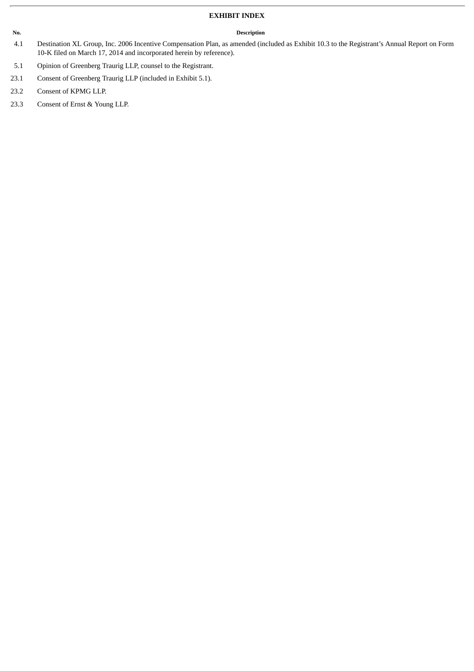#### **EXHIBIT INDEX**

#### **No. Description**

- 4.1 Destination XL Group, Inc. 2006 Incentive Compensation Plan, as amended (included as Exhibit 10.3 to the Registrant's Annual Report on Form 10-K filed on March 17, 2014 and incorporated herein by reference).
- 5.1 Opinion of Greenberg Traurig LLP, counsel to the Registrant.
- 23.1 Consent of Greenberg Traurig LLP (included in Exhibit 5.1).
- 23.2 Consent of KPMG LLP.
- 23.3 Consent of Ernst & Young LLP.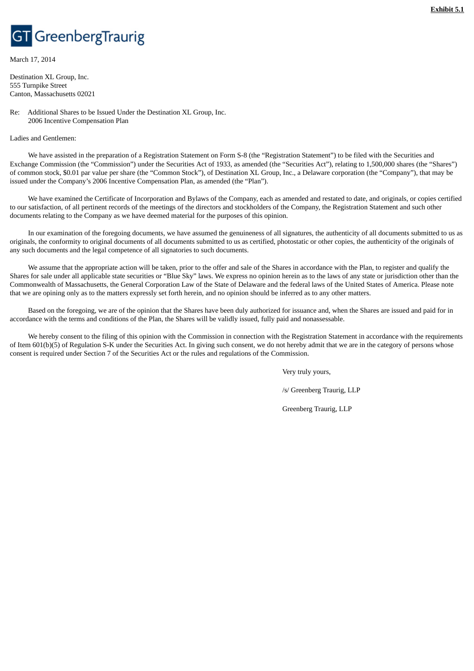# GreenbergTraurig

March 17, 2014

Destination XL Group, Inc. 555 Turnpike Street Canton, Massachusetts 02021

Re: Additional Shares to be Issued Under the Destination XL Group, Inc. 2006 Incentive Compensation Plan

Ladies and Gentlemen:

We have assisted in the preparation of a Registration Statement on Form S-8 (the "Registration Statement") to be filed with the Securities and Exchange Commission (the "Commission") under the Securities Act of 1933, as amended (the "Securities Act"), relating to 1,500,000 shares (the "Shares") of common stock, \$0.01 par value per share (the "Common Stock"), of Destination XL Group, Inc., a Delaware corporation (the "Company"), that may be issued under the Company's 2006 Incentive Compensation Plan, as amended (the "Plan").

We have examined the Certificate of Incorporation and Bylaws of the Company, each as amended and restated to date, and originals, or copies certified to our satisfaction, of all pertinent records of the meetings of the directors and stockholders of the Company, the Registration Statement and such other documents relating to the Company as we have deemed material for the purposes of this opinion.

In our examination of the foregoing documents, we have assumed the genuineness of all signatures, the authenticity of all documents submitted to us as originals, the conformity to original documents of all documents submitted to us as certified, photostatic or other copies, the authenticity of the originals of any such documents and the legal competence of all signatories to such documents.

We assume that the appropriate action will be taken, prior to the offer and sale of the Shares in accordance with the Plan, to register and qualify the Shares for sale under all applicable state securities or "Blue Sky" laws. We express no opinion herein as to the laws of any state or jurisdiction other than the Commonwealth of Massachusetts, the General Corporation Law of the State of Delaware and the federal laws of the United States of America. Please note that we are opining only as to the matters expressly set forth herein, and no opinion should be inferred as to any other matters.

Based on the foregoing, we are of the opinion that the Shares have been duly authorized for issuance and, when the Shares are issued and paid for in accordance with the terms and conditions of the Plan, the Shares will be validly issued, fully paid and nonassessable.

We hereby consent to the filing of this opinion with the Commission in connection with the Registration Statement in accordance with the requirements of Item 601(b)(5) of Regulation S-K under the Securities Act. In giving such consent, we do not hereby admit that we are in the category of persons whose consent is required under Section 7 of the Securities Act or the rules and regulations of the Commission.

Very truly yours,

/s/ Greenberg Traurig, LLP

Greenberg Traurig, LLP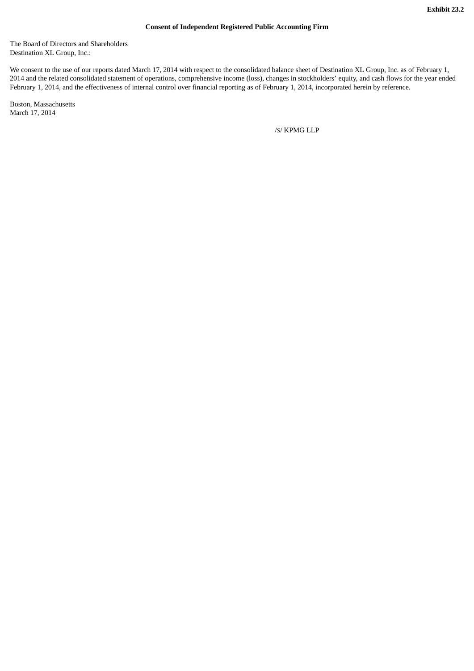#### **Consent of Independent Registered Public Accounting Firm**

The Board of Directors and Shareholders Destination XL Group, Inc.:

We consent to the use of our reports dated March 17, 2014 with respect to the consolidated balance sheet of Destination XL Group, Inc. as of February 1, 2014 and the related consolidated statement of operations, comprehensive income (loss), changes in stockholders' equity, and cash flows for the year ended February 1, 2014, and the effectiveness of internal control over financial reporting as of February 1, 2014, incorporated herein by reference.

Boston, Massachusetts March 17, 2014

/S/ KPMG LLP